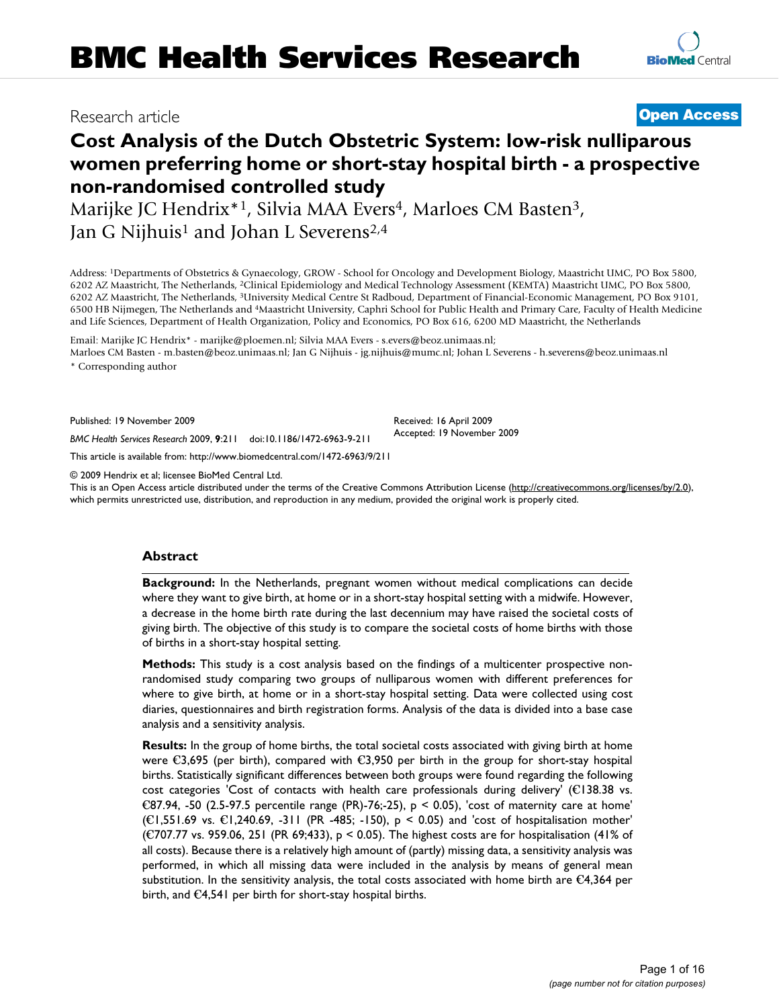# Research article **[Open Access](http://www.biomedcentral.com/info/about/charter/)**

**[BioMed](http://www.biomedcentral.com/)** Central

# **Cost Analysis of the Dutch Obstetric System: low-risk nulliparous women preferring home or short-stay hospital birth - a prospective non-randomised controlled study**

Marijke JC Hendrix<sup>\*1</sup>, Silvia MAA Evers<sup>4</sup>, Marloes CM Basten<sup>3</sup>, Jan G Nijhuis<sup>1</sup> and Johan L Severens<sup>2,4</sup>

Address: 1Departments of Obstetrics & Gynaecology, GROW - School for Oncology and Development Biology, Maastricht UMC, PO Box 5800, 6202 AZ Maastricht, The Netherlands, 2Clinical Epidemiology and Medical Technology Assessment (KEMTA) Maastricht UMC, PO Box 5800, 6202 AZ Maastricht, The Netherlands, 3University Medical Centre St Radboud, Department of Financial-Economic Management, PO Box 9101, 6500 HB Nijmegen, The Netherlands and 4Maastricht University, Caphri School for Public Health and Primary Care, Faculty of Health Medicine and Life Sciences, Department of Health Organization, Policy and Economics, PO Box 616, 6200 MD Maastricht, the Netherlands

Email: Marijke JC Hendrix\* - marijke@ploemen.nl; Silvia MAA Evers - s.evers@beoz.unimaas.nl;

Marloes CM Basten - m.basten@beoz.unimaas.nl; Jan G Nijhuis - jg.nijhuis@mumc.nl; Johan L Severens - h.severens@beoz.unimaas.nl \* Corresponding author

Published: 19 November 2009

Received: 16 April 2009 Accepted: 19 November 2009

*BMC Health Services Research* 2009, **9**:211 doi:10.1186/1472-6963-9-211 [This article is available from: http://www.biomedcentral.com/1472-6963/9/211](http://www.biomedcentral.com/1472-6963/9/211)

© 2009 Hendrix et al; licensee BioMed Central Ltd.

This is an Open Access article distributed under the terms of the Creative Commons Attribution License [\(http://creativecommons.org/licenses/by/2.0\)](http://creativecommons.org/licenses/by/2.0), which permits unrestricted use, distribution, and reproduction in any medium, provided the original work is properly cited.

## **Abstract**

**Background:** In the Netherlands, pregnant women without medical complications can decide where they want to give birth, at home or in a short-stay hospital setting with a midwife. However, a decrease in the home birth rate during the last decennium may have raised the societal costs of giving birth. The objective of this study is to compare the societal costs of home births with those of births in a short-stay hospital setting.

**Methods:** This study is a cost analysis based on the findings of a multicenter prospective nonrandomised study comparing two groups of nulliparous women with different preferences for where to give birth, at home or in a short-stay hospital setting. Data were collected using cost diaries, questionnaires and birth registration forms. Analysis of the data is divided into a base case analysis and a sensitivity analysis.

**Results:** In the group of home births, the total societal costs associated with giving birth at home were €3,695 (per birth), compared with €3,950 per birth in the group for short-stay hospital births. Statistically significant differences between both groups were found regarding the following cost categories 'Cost of contacts with health care professionals during delivery' (€138.38 vs. €87.94, -50 (2.5-97.5 percentile range (PR)-76;-25), p < 0.05), 'cost of maternity care at home' (€1,551.69 vs. €1,240.69, -311 (PR -485; -150), p < 0.05) and 'cost of hospitalisation mother' (€707.77 vs. 959.06, 251 (PR 69;433), p < 0.05). The highest costs are for hospitalisation (41% of all costs). Because there is a relatively high amount of (partly) missing data, a sensitivity analysis was performed, in which all missing data were included in the analysis by means of general mean substitution. In the sensitivity analysis, the total costs associated with home birth are  $\epsilon$ 4,364 per birth, and €4,541 per birth for short-stay hospital births.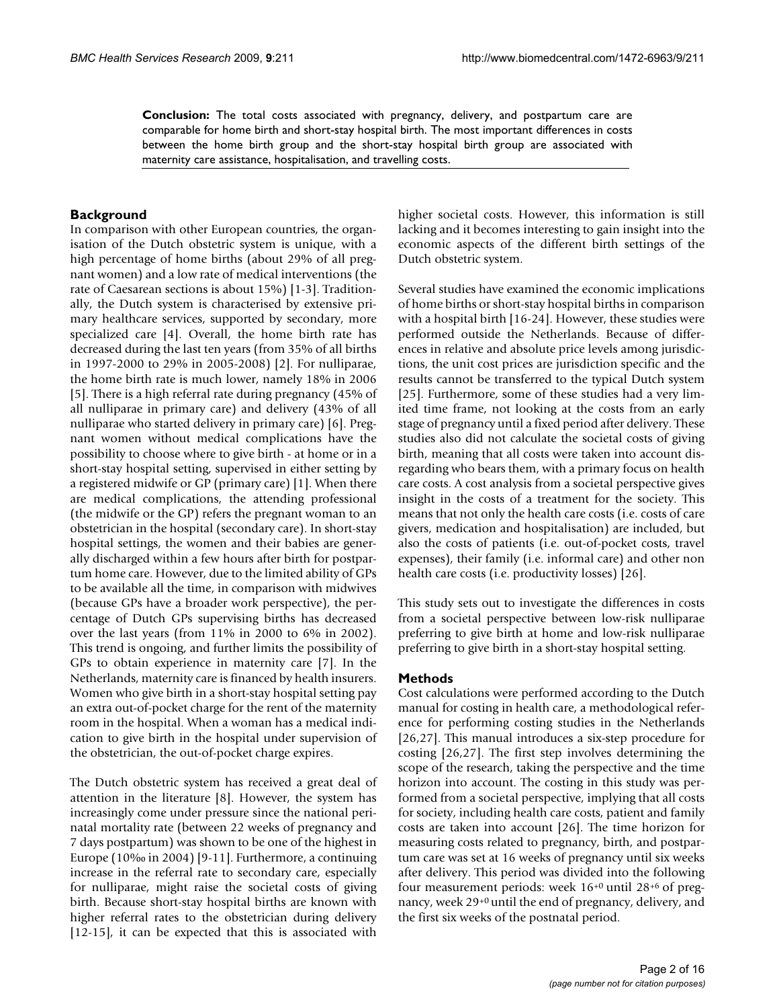**Conclusion:** The total costs associated with pregnancy, delivery, and postpartum care are comparable for home birth and short-stay hospital birth. The most important differences in costs between the home birth group and the short-stay hospital birth group are associated with maternity care assistance, hospitalisation, and travelling costs.

## **Background**

In comparison with other European countries, the organisation of the Dutch obstetric system is unique, with a high percentage of home births (about 29% of all pregnant women) and a low rate of medical interventions (the rate of Caesarean sections is about 15%) [[1-](#page-14-0)[3](#page-14-1)]. Traditionally, the Dutch system is characterised by extensive primary healthcare services, supported by secondary, more specialized care [[4](#page-14-2)]. Overall, the home birth rate has decreased during the last ten years (from 35% of all births in 1997-2000 to 29% in 2005-2008) [\[2\]](#page-14-3). For nulliparae, the home birth rate is much lower, namely 18% in 2006 [[5\]](#page-14-4). There is a high referral rate during pregnancy (45% of all nulliparae in primary care) and delivery (43% of all nulliparae who started delivery in primary care) [\[6](#page-14-5)]. Pregnant women without medical complications have the possibility to choose where to give birth - at home or in a short-stay hospital setting, supervised in either setting by a registered midwife or GP (primary care) [[1](#page-14-0)]. When there are medical complications, the attending professional (the midwife or the GP) refers the pregnant woman to an obstetrician in the hospital (secondary care). In short-stay hospital settings, the women and their babies are generally discharged within a few hours after birth for postpartum home care. However, due to the limited ability of GPs to be available all the time, in comparison with midwives (because GPs have a broader work perspective), the percentage of Dutch GPs supervising births has decreased over the last years (from 11% in 2000 to 6% in 2002). This trend is ongoing, and further limits the possibility of GPs to obtain experience in maternity care [\[7\]](#page-14-6). In the Netherlands, maternity care is financed by health insurers. Women who give birth in a short-stay hospital setting pay an extra out-of-pocket charge for the rent of the maternity room in the hospital. When a woman has a medical indication to give birth in the hospital under supervision of the obstetrician, the out-of-pocket charge expires.

The Dutch obstetric system has received a great deal of attention in the literature [[8](#page-14-7)]. However, the system has increasingly come under pressure since the national perinatal mortality rate (between 22 weeks of pregnancy and 7 days postpartum) was shown to be one of the highest in Europe (10‰ in 2004) [\[9-](#page-14-8)[11\]](#page-14-9). Furthermore, a continuing increase in the referral rate to secondary care, especially for nulliparae, might raise the societal costs of giving birth. Because short-stay hospital births are known with higher referral rates to the obstetrician during delivery [[12](#page-14-10)[-15](#page-14-11)], it can be expected that this is associated with

higher societal costs. However, this information is still lacking and it becomes interesting to gain insight into the economic aspects of the different birth settings of the Dutch obstetric system.

Several studies have examined the economic implications of home births or short-stay hospital births in comparison with a hospital birth [[16-](#page-15-0)[24\]](#page-15-1). However, these studies were performed outside the Netherlands. Because of differences in relative and absolute price levels among jurisdictions, the unit cost prices are jurisdiction specific and the results cannot be transferred to the typical Dutch system [[25](#page-15-2)]. Furthermore, some of these studies had a very limited time frame, not looking at the costs from an early stage of pregnancy until a fixed period after delivery. These studies also did not calculate the societal costs of giving birth, meaning that all costs were taken into account disregarding who bears them, with a primary focus on health care costs. A cost analysis from a societal perspective gives insight in the costs of a treatment for the society. This means that not only the health care costs (i.e. costs of care givers, medication and hospitalisation) are included, but also the costs of patients (i.e. out-of-pocket costs, travel expenses), their family (i.e. informal care) and other non health care costs (i.e. productivity losses) [\[26](#page-15-3)].

This study sets out to investigate the differences in costs from a societal perspective between low-risk nulliparae preferring to give birth at home and low-risk nulliparae preferring to give birth in a short-stay hospital setting.

## **Methods**

Cost calculations were performed according to the Dutch manual for costing in health care, a methodological reference for performing costing studies in the Netherlands [[26](#page-15-3),[27\]](#page-15-4). This manual introduces a six-step procedure for costing [[26](#page-15-3),[27\]](#page-15-4). The first step involves determining the scope of the research, taking the perspective and the time horizon into account. The costing in this study was performed from a societal perspective, implying that all costs for society, including health care costs, patient and family costs are taken into account [[26\]](#page-15-3). The time horizon for measuring costs related to pregnancy, birth, and postpartum care was set at 16 weeks of pregnancy until six weeks after delivery. This period was divided into the following four measurement periods: week 16+0 until 28+6 of pregnancy, week 29+0 until the end of pregnancy, delivery, and the first six weeks of the postnatal period.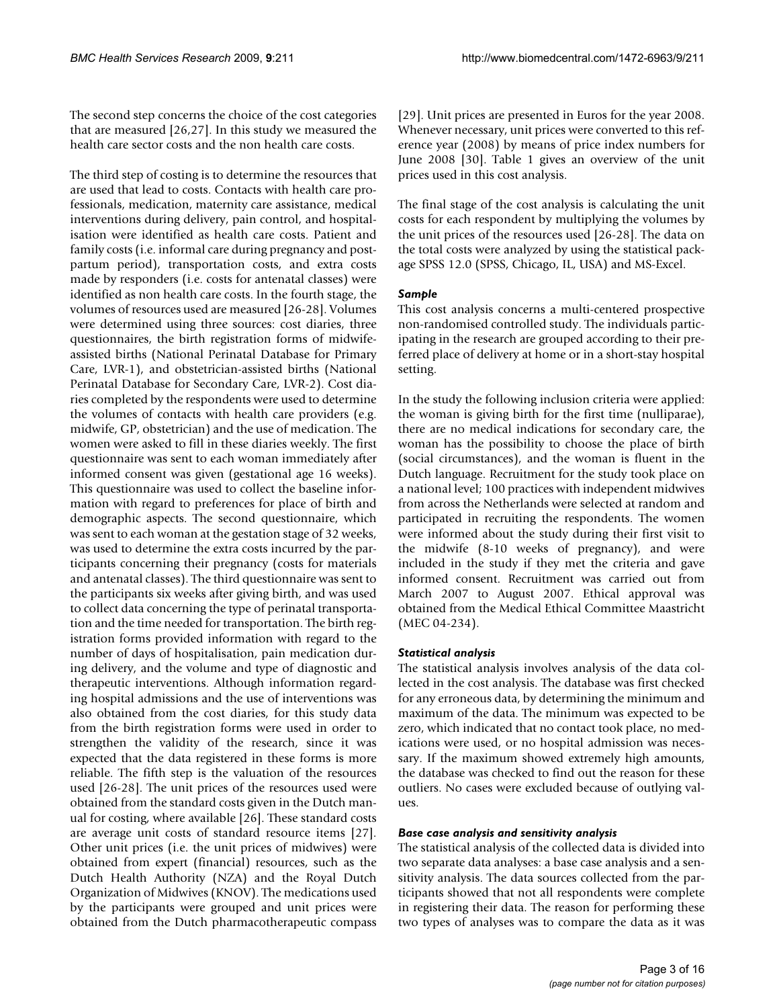The second step concerns the choice of the cost categories that are measured [[26](#page-15-3),[27\]](#page-15-4). In this study we measured the health care sector costs and the non health care costs.

The third step of costing is to determine the resources that are used that lead to costs. Contacts with health care professionals, medication, maternity care assistance, medical interventions during delivery, pain control, and hospitalisation were identified as health care costs. Patient and family costs (i.e. informal care during pregnancy and postpartum period), transportation costs, and extra costs made by responders (i.e. costs for antenatal classes) were identified as non health care costs. In the fourth stage, the volumes of resources used are measured [\[26](#page-15-3)[-28](#page-15-5)]. Volumes were determined using three sources: cost diaries, three questionnaires, the birth registration forms of midwifeassisted births (National Perinatal Database for Primary Care, LVR-1), and obstetrician-assisted births (National Perinatal Database for Secondary Care, LVR-2). Cost diaries completed by the respondents were used to determine the volumes of contacts with health care providers (e.g. midwife, GP, obstetrician) and the use of medication. The women were asked to fill in these diaries weekly. The first questionnaire was sent to each woman immediately after informed consent was given (gestational age 16 weeks). This questionnaire was used to collect the baseline information with regard to preferences for place of birth and demographic aspects. The second questionnaire, which was sent to each woman at the gestation stage of 32 weeks, was used to determine the extra costs incurred by the participants concerning their pregnancy (costs for materials and antenatal classes). The third questionnaire was sent to the participants six weeks after giving birth, and was used to collect data concerning the type of perinatal transportation and the time needed for transportation. The birth registration forms provided information with regard to the number of days of hospitalisation, pain medication during delivery, and the volume and type of diagnostic and therapeutic interventions. Although information regarding hospital admissions and the use of interventions was also obtained from the cost diaries, for this study data from the birth registration forms were used in order to strengthen the validity of the research, since it was expected that the data registered in these forms is more reliable. The fifth step is the valuation of the resources used [\[26](#page-15-3)[-28](#page-15-5)]. The unit prices of the resources used were obtained from the standard costs given in the Dutch manual for costing, where available [\[26](#page-15-3)]. These standard costs are average unit costs of standard resource items [\[27](#page-15-4)]. Other unit prices (i.e. the unit prices of midwives) were obtained from expert (financial) resources, such as the Dutch Health Authority (NZA) and the Royal Dutch Organization of Midwives (KNOV). The medications used by the participants were grouped and unit prices were obtained from the Dutch pharmacotherapeutic compass

[[29](#page-15-6)]. Unit prices are presented in Euros for the year 2008. Whenever necessary, unit prices were converted to this reference year (2008) by means of price index numbers for June 2008 [[30\]](#page-15-7). Table [1](#page-3-0) gives an overview of the unit prices used in this cost analysis.

The final stage of the cost analysis is calculating the unit costs for each respondent by multiplying the volumes by the unit prices of the resources used [\[26](#page-15-3)[-28](#page-15-5)]. The data on the total costs were analyzed by using the statistical package SPSS 12.0 (SPSS, Chicago, IL, USA) and MS-Excel.

## *Sample*

This cost analysis concerns a multi-centered prospective non-randomised controlled study. The individuals participating in the research are grouped according to their preferred place of delivery at home or in a short-stay hospital setting.

In the study the following inclusion criteria were applied: the woman is giving birth for the first time (nulliparae), there are no medical indications for secondary care, the woman has the possibility to choose the place of birth (social circumstances), and the woman is fluent in the Dutch language. Recruitment for the study took place on a national level; 100 practices with independent midwives from across the Netherlands were selected at random and participated in recruiting the respondents. The women were informed about the study during their first visit to the midwife (8-10 weeks of pregnancy), and were included in the study if they met the criteria and gave informed consent. Recruitment was carried out from March 2007 to August 2007. Ethical approval was obtained from the Medical Ethical Committee Maastricht (MEC 04-234).

#### *Statistical analysis*

The statistical analysis involves analysis of the data collected in the cost analysis. The database was first checked for any erroneous data, by determining the minimum and maximum of the data. The minimum was expected to be zero, which indicated that no contact took place, no medications were used, or no hospital admission was necessary. If the maximum showed extremely high amounts, the database was checked to find out the reason for these outliers. No cases were excluded because of outlying values.

#### *Base case analysis and sensitivity analysis*

The statistical analysis of the collected data is divided into two separate data analyses: a base case analysis and a sensitivity analysis. The data sources collected from the participants showed that not all respondents were complete in registering their data. The reason for performing these two types of analyses was to compare the data as it was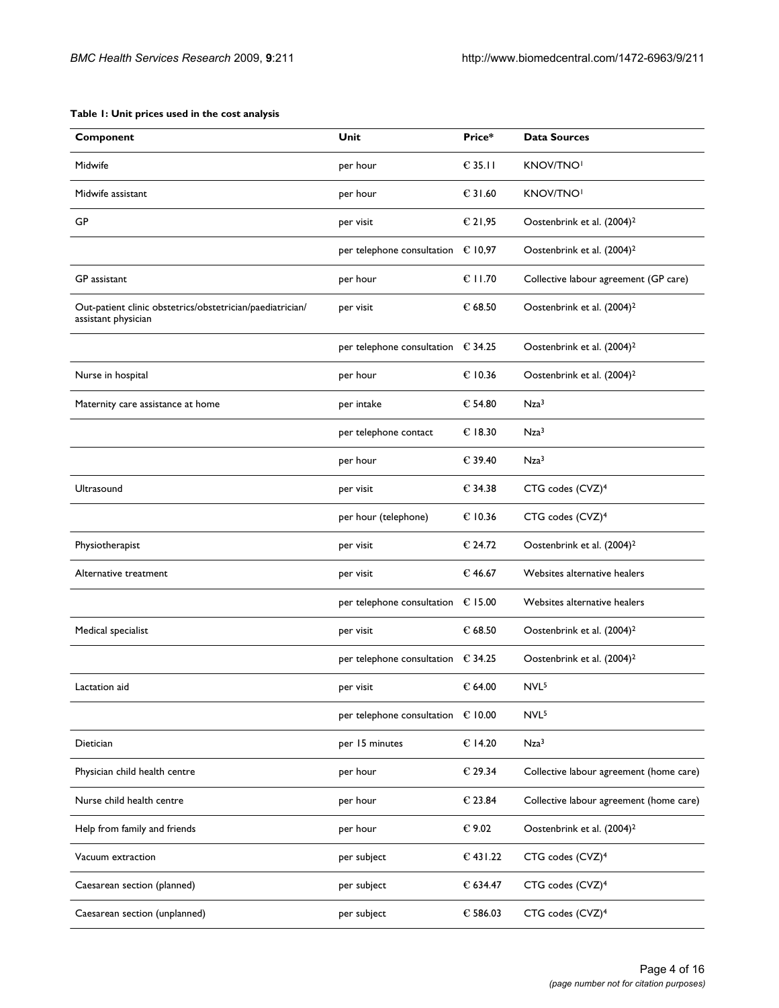## <span id="page-3-0"></span>**Table 1: Unit prices used in the cost analysis**

| Component                                                                        | Unit                                        | Price*           | <b>Data Sources</b>                     |
|----------------------------------------------------------------------------------|---------------------------------------------|------------------|-----------------------------------------|
| Midwife                                                                          | per hour                                    | $\in$ 35.11      | <b>KNOV/TNO</b>                         |
| Midwife assistant                                                                | per hour                                    | € 31.60          | <b>KNOV/TNO</b>                         |
| GP                                                                               | per visit                                   | € 21,95          | Oostenbrink et al. (2004) <sup>2</sup>  |
|                                                                                  | per telephone consultation                  | $\epsilon$ 10,97 | Oostenbrink et al. (2004) <sup>2</sup>  |
| <b>GP</b> assistant                                                              | per hour                                    | € 11.70          | Collective labour agreement (GP care)   |
| Out-patient clinic obstetrics/obstetrician/paediatrician/<br>assistant physician | per visit                                   | $\epsilon$ 68.50 | Oostenbrink et al. (2004) <sup>2</sup>  |
|                                                                                  | per telephone consultation $\epsilon$ 34.25 |                  | Oostenbrink et al. (2004) <sup>2</sup>  |
| Nurse in hospital                                                                | per hour                                    | € 10.36          | Oostenbrink et al. (2004) <sup>2</sup>  |
| Maternity care assistance at home                                                | per intake                                  | € 54.80          | Nza <sup>3</sup>                        |
|                                                                                  | per telephone contact                       | $\in$ 18.30      | Nza <sup>3</sup>                        |
|                                                                                  | per hour                                    | € 39.40          | Nza <sup>3</sup>                        |
| Ultrasound                                                                       | per visit                                   | € 34.38          | CTG codes (CVZ) <sup>4</sup>            |
|                                                                                  | per hour (telephone)                        | $\epsilon$ 10.36 | CTG codes (CVZ) <sup>4</sup>            |
| Physiotherapist                                                                  | per visit                                   | $\epsilon$ 24.72 | Oostenbrink et al. (2004) <sup>2</sup>  |
| Alternative treatment                                                            | per visit                                   | €46.67           | Websites alternative healers            |
|                                                                                  | per telephone consultation                  | $\epsilon$ 15.00 | Websites alternative healers            |
| Medical specialist                                                               | per visit                                   | $\epsilon$ 68.50 | Oostenbrink et al. (2004) <sup>2</sup>  |
|                                                                                  | per telephone consultation $\epsilon$ 34.25 |                  | Oostenbrink et al. (2004) <sup>2</sup>  |
| Lactation aid                                                                    | per visit                                   | € 64.00          | NVL <sup>5</sup>                        |
|                                                                                  | per telephone consultation $\epsilon$ 10.00 |                  | NVL <sup>5</sup>                        |
| Dietician                                                                        | per 15 minutes                              | $E$ 14.20        | Nza <sup>3</sup>                        |
| Physician child health centre                                                    | per hour                                    | $\epsilon$ 29.34 | Collective labour agreement (home care) |
| Nurse child health centre                                                        | per hour                                    | € 23.84          | Collective labour agreement (home care) |
| Help from family and friends                                                     | per hour                                    | $\epsilon$ 9.02  | Oostenbrink et al. (2004) <sup>2</sup>  |
| Vacuum extraction                                                                | per subject                                 | € 431.22         | CTG codes (CVZ) <sup>4</sup>            |
| Caesarean section (planned)                                                      | per subject                                 | € 634.47         | CTG codes (CVZ) <sup>4</sup>            |
| Caesarean section (unplanned)                                                    | per subject                                 | € 586.03         | CTG codes (CVZ) <sup>4</sup>            |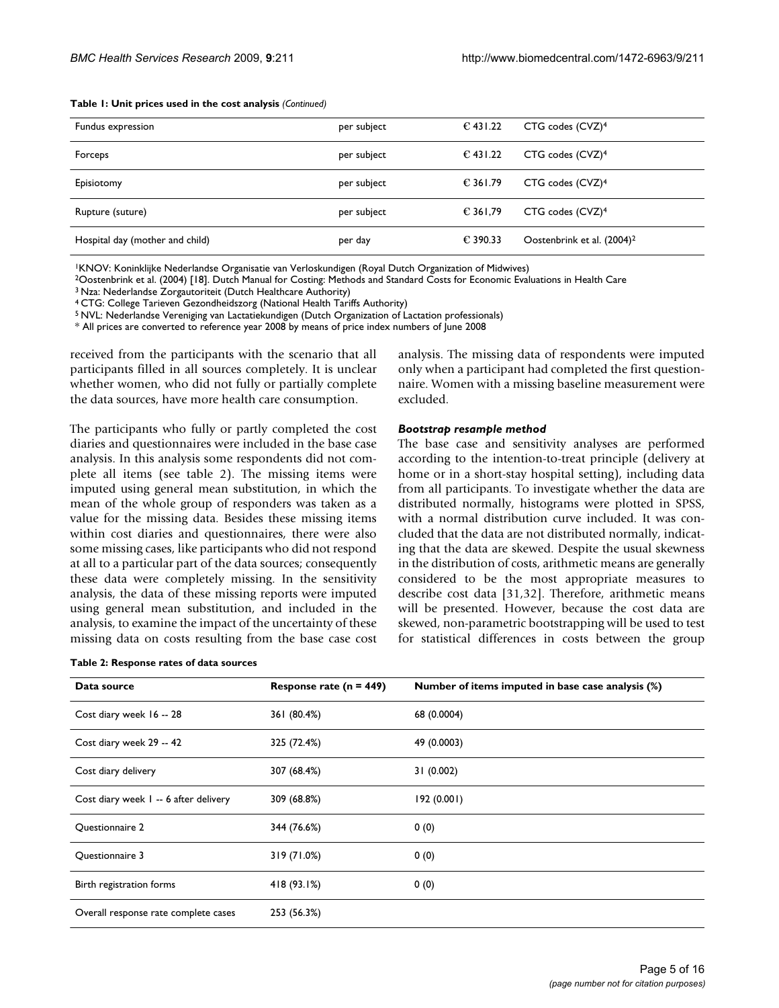#### **Table 1: Unit prices used in the cost analysis** *(Continued)*

| Fundus expression               | per subject | €431.22    | CTG codes (CVZ) <sup>4</sup>           |
|---------------------------------|-------------|------------|----------------------------------------|
| Forceps                         | per subject | $E$ 431.22 | CTG codes $(CVZ)^4$                    |
| Episiotomy                      | per subject | € 361.79   | CTG codes (CVZ) <sup>4</sup>           |
| Rupture (suture)                | per subject | € 361,79   | CTG codes (CVZ) <sup>4</sup>           |
| Hospital day (mother and child) | per day     | € 390.33   | Oostenbrink et al. (2004) <sup>2</sup> |

1KNOV: Koninklijke Nederlandse Organisatie van Verloskundigen (Royal Dutch Organization of Midwives)

2Oostenbrink et al. (2004) [\[18](#page-15-10)]. Dutch Manual for Costing: Methods and Standard Costs for Economic Evaluations in Health Care

3 Nza: Nederlandse Zorgautoriteit (Dutch Healthcare Authority)

4 CTG: College Tarieven Gezondheidszorg (National Health Tariffs Authority)

5 NVL: Nederlandse Vereniging van Lactatiekundigen (Dutch Organization of Lactation professionals)

\* All prices are converted to reference year 2008 by means of price index numbers of June 2008

received from the participants with the scenario that all participants filled in all sources completely. It is unclear whether women, who did not fully or partially complete the data sources, have more health care consumption.

The participants who fully or partly completed the cost diaries and questionnaires were included in the base case analysis. In this analysis some respondents did not complete all items (see table [2](#page-4-0)). The missing items were imputed using general mean substitution, in which the mean of the whole group of responders was taken as a value for the missing data. Besides these missing items within cost diaries and questionnaires, there were also some missing cases, like participants who did not respond at all to a particular part of the data sources; consequently these data were completely missing. In the sensitivity analysis, the data of these missing reports were imputed using general mean substitution, and included in the analysis, to examine the impact of the uncertainty of these missing data on costs resulting from the base case cost

<span id="page-4-0"></span>

|  |  | Table 2: Response rates of data sources |  |  |  |  |  |
|--|--|-----------------------------------------|--|--|--|--|--|
|--|--|-----------------------------------------|--|--|--|--|--|

analysis. The missing data of respondents were imputed only when a participant had completed the first questionnaire. Women with a missing baseline measurement were excluded.

#### *Bootstrap resample method*

The base case and sensitivity analyses are performed according to the intention-to-treat principle (delivery at home or in a short-stay hospital setting), including data from all participants. To investigate whether the data are distributed normally, histograms were plotted in SPSS, with a normal distribution curve included. It was concluded that the data are not distributed normally, indicating that the data are skewed. Despite the usual skewness in the distribution of costs, arithmetic means are generally considered to be the most appropriate measures to describe cost data [\[31](#page-15-8),[32](#page-15-9)]. Therefore, arithmetic means will be presented. However, because the cost data are skewed, non-parametric bootstrapping will be used to test for statistical differences in costs between the group

| Data source                           | Response rate ( $n = 449$ ) | Number of items imputed in base case analysis (%) |
|---------------------------------------|-----------------------------|---------------------------------------------------|
| Cost diary week 16 -- 28              | 361 (80.4%)                 | 68 (0.0004)                                       |
| Cost diary week 29 -- 42              | 325 (72.4%)                 | 49 (0.0003)                                       |
| Cost diary delivery                   | 307 (68.4%)                 | 31 (0.002)                                        |
| Cost diary week 1 -- 6 after delivery | 309 (68.8%)                 | 192(0.001)                                        |
| Questionnaire 2                       | 344 (76.6%)                 | 0(0)                                              |
| Questionnaire 3                       | 319 (71.0%)                 | 0(0)                                              |
| Birth registration forms              | 418 (93.1%)                 | 0(0)                                              |
| Overall response rate complete cases  | 253 (56.3%)                 |                                                   |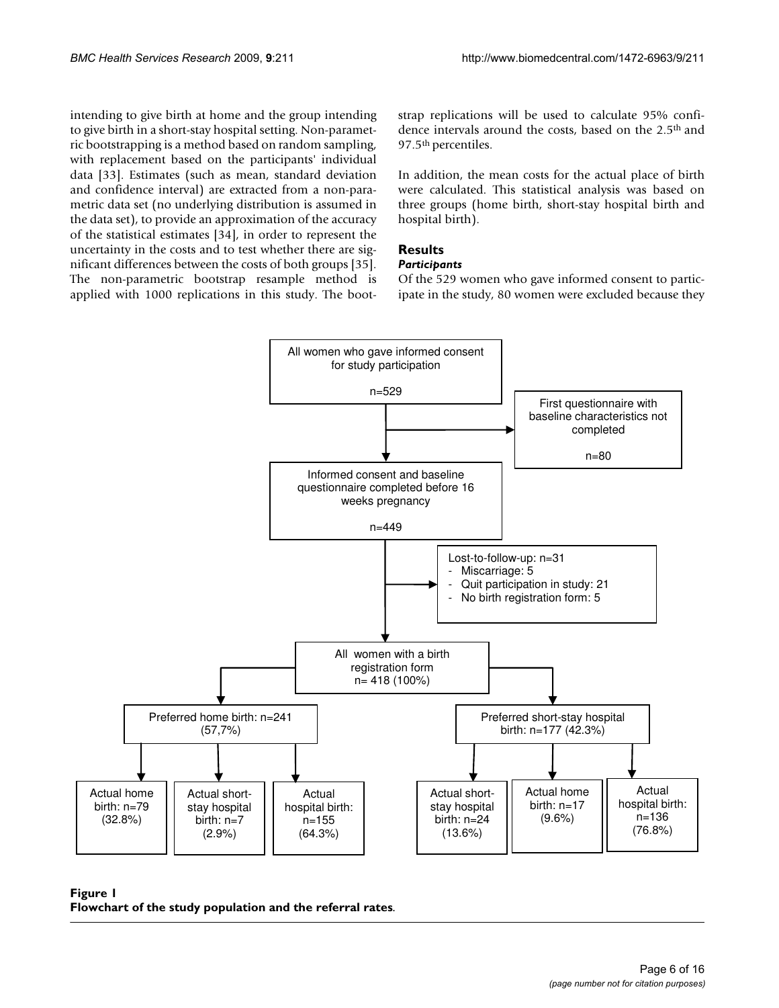intending to give birth at home and the group intending to give birth in a short-stay hospital setting. Non-parametric bootstrapping is a method based on random sampling, with replacement based on the participants' individual data [[33](#page-15-11)]. Estimates (such as mean, standard deviation and confidence interval) are extracted from a non-parametric data set (no underlying distribution is assumed in the data set), to provide an approximation of the accuracy of the statistical estimates [\[34](#page-15-12)], in order to represent the uncertainty in the costs and to test whether there are significant differences between the costs of both groups [\[35](#page-15-13)]. The non-parametric bootstrap resample method is applied with 1000 replications in this study. The bootstrap replications will be used to calculate 95% confidence intervals around the costs, based on the 2.5<sup>th</sup> and 97.5th percentiles.

In addition, the mean costs for the actual place of birth were calculated. This statistical analysis was based on three groups (home birth, short-stay hospital birth and hospital birth).

## **Results**

## *Participants*

Of the 529 women who gave informed consent to participate in the study, 80 women were excluded because they

<span id="page-5-0"></span>

## Figure 1 **Flowchart of the study population and the referral rates**.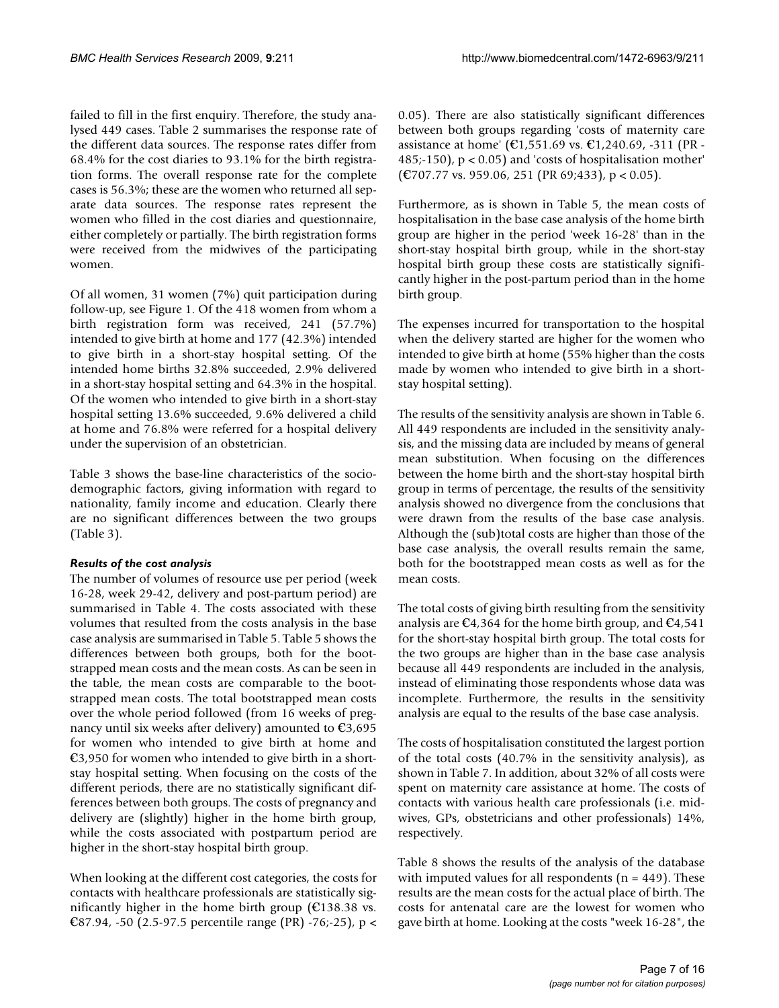failed to fill in the first enquiry. Therefore, the study analysed 449 cases. Table [2](#page-4-0) summarises the response rate of the different data sources. The response rates differ from 68.4% for the cost diaries to 93.1% for the birth registration forms. The overall response rate for the complete cases is 56.3%; these are the women who returned all separate data sources. The response rates represent the women who filled in the cost diaries and questionnaire, either completely or partially. The birth registration forms were received from the midwives of the participating women.

Of all women, 31 women (7%) quit participation during follow-up, see Figure [1.](#page-5-0) Of the 418 women from whom a birth registration form was received, 241 (57.7%) intended to give birth at home and 177 (42.3%) intended to give birth in a short-stay hospital setting. Of the intended home births 32.8% succeeded, 2.9% delivered in a short-stay hospital setting and 64.3% in the hospital. Of the women who intended to give birth in a short-stay hospital setting 13.6% succeeded, 9.6% delivered a child at home and 76.8% were referred for a hospital delivery under the supervision of an obstetrician.

Table [3](#page-7-0) shows the base-line characteristics of the sociodemographic factors, giving information with regard to nationality, family income and education. Clearly there are no significant differences between the two groups (Table [3\)](#page-7-0).

## *Results of the cost analysis*

The number of volumes of resource use per period (week 16-28, week 29-42, delivery and post-partum period) are summarised in Table [4](#page-9-0). The costs associated with these volumes that resulted from the costs analysis in the base case analysis are summarised in Table [5](#page-11-0). Table [5](#page-11-0) shows the differences between both groups, both for the bootstrapped mean costs and the mean costs. As can be seen in the table, the mean costs are comparable to the bootstrapped mean costs. The total bootstrapped mean costs over the whole period followed (from 16 weeks of pregnancy until six weeks after delivery) amounted to  $\textcolor{blue}{\mathfrak{C}3,695}$ for women who intended to give birth at home and  $\epsilon$ 3,950 for women who intended to give birth in a shortstay hospital setting. When focusing on the costs of the different periods, there are no statistically significant differences between both groups. The costs of pregnancy and delivery are (slightly) higher in the home birth group, while the costs associated with postpartum period are higher in the short-stay hospital birth group.

When looking at the different cost categories, the costs for contacts with healthcare professionals are statistically significantly higher in the home birth group ( $€138.38$  vs. €87.94, -50 (2.5-97.5 percentile range (PR) -76;-25), p < 0.05). There are also statistically significant differences between both groups regarding 'costs of maternity care assistance at home' (€1,551.69 vs. €1,240.69, -311 (PR - 485;-150), p < 0.05) and 'costs of hospitalisation mother' (€707.77 vs. 959.06, 251 (PR 69;433), p < 0.05).

Furthermore, as is shown in Table [5,](#page-11-0) the mean costs of hospitalisation in the base case analysis of the home birth group are higher in the period 'week 16-28' than in the short-stay hospital birth group, while in the short-stay hospital birth group these costs are statistically significantly higher in the post-partum period than in the home birth group.

The expenses incurred for transportation to the hospital when the delivery started are higher for the women who intended to give birth at home (55% higher than the costs made by women who intended to give birth in a shortstay hospital setting).

The results of the sensitivity analysis are shown in Table [6.](#page-12-0) All 449 respondents are included in the sensitivity analysis, and the missing data are included by means of general mean substitution. When focusing on the differences between the home birth and the short-stay hospital birth group in terms of percentage, the results of the sensitivity analysis showed no divergence from the conclusions that were drawn from the results of the base case analysis. Although the (sub)total costs are higher than those of the base case analysis, the overall results remain the same, both for the bootstrapped mean costs as well as for the mean costs.

The total costs of giving birth resulting from the sensitivity analysis are  $\mathfrak{C}4,364$  for the home birth group, and  $\mathfrak{C}4,541$ for the short-stay hospital birth group. The total costs for the two groups are higher than in the base case analysis because all 449 respondents are included in the analysis, instead of eliminating those respondents whose data was incomplete. Furthermore, the results in the sensitivity analysis are equal to the results of the base case analysis.

The costs of hospitalisation constituted the largest portion of the total costs (40.7% in the sensitivity analysis), as shown in Table [7](#page-13-0). In addition, about 32% of all costs were spent on maternity care assistance at home. The costs of contacts with various health care professionals (i.e. midwives, GPs, obstetricians and other professionals) 14%, respectively.

Table [8](#page-13-1) shows the results of the analysis of the database with imputed values for all respondents ( $n = 449$ ). These results are the mean costs for the actual place of birth. The costs for antenatal care are the lowest for women who gave birth at home. Looking at the costs "week 16-28", the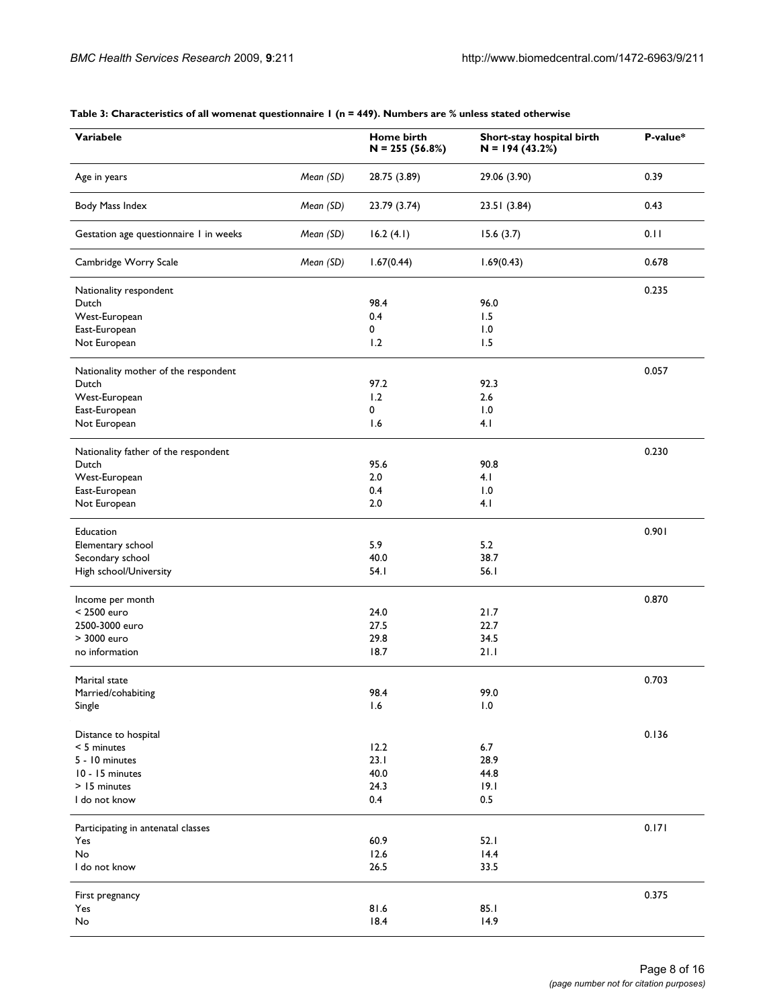| Variabele                                     |           | Home birth<br>$N = 255(56.8%)$ | Short-stay hospital birth<br>$N = 194(43.2%)$ | P-value* |
|-----------------------------------------------|-----------|--------------------------------|-----------------------------------------------|----------|
| Age in years                                  | Mean (SD) | 28.75 (3.89)                   | 29.06 (3.90)                                  | 0.39     |
| Body Mass Index                               | Mean (SD) | 23.79 (3.74)                   | 23.51 (3.84)                                  | 0.43     |
| Gestation age questionnaire I in weeks        | Mean (SD) | 16.2(4.1)                      | 15.6(3.7)                                     | 0.11     |
| Cambridge Worry Scale                         | Mean (SD) | 1.67(0.44)                     | 1.69(0.43)                                    | 0.678    |
| Nationality respondent                        |           |                                |                                               | 0.235    |
| Dutch                                         |           | 98.4                           | 96.0                                          |          |
| West-European                                 |           | 0.4                            | 1.5                                           |          |
| East-European                                 |           | 0                              | 1.0                                           |          |
| Not European                                  |           | 1.2                            | 1.5                                           |          |
|                                               |           |                                |                                               | 0.057    |
| Nationality mother of the respondent<br>Dutch |           | 97.2                           | 92.3                                          |          |
|                                               |           | 1.2                            |                                               |          |
| West-European                                 |           |                                | 2.6                                           |          |
| East-European                                 |           | 0                              | 1.0                                           |          |
| Not European                                  |           | 1.6                            | 4.1                                           |          |
| Nationality father of the respondent          |           |                                |                                               | 0.230    |
| Dutch                                         |           | 95.6                           | 90.8                                          |          |
| West-European                                 |           | 2.0                            | 4.1                                           |          |
| East-European                                 |           | 0.4                            | 1.0                                           |          |
| Not European                                  |           | 2.0                            | 4.1                                           |          |
| Education                                     |           |                                |                                               | 0.901    |
| Elementary school                             |           | 5.9                            | 5.2                                           |          |
| Secondary school                              |           | 40.0                           | 38.7                                          |          |
| High school/University                        |           | 54.1                           | 56.1                                          |          |
|                                               |           |                                |                                               |          |
| Income per month                              |           |                                |                                               | 0.870    |
| < 2500 euro                                   |           | 24.0                           | 21.7                                          |          |
| 2500-3000 euro                                |           | 27.5                           | 22.7                                          |          |
| > 3000 euro                                   |           | 29.8                           | 34.5                                          |          |
| no information                                |           | 18.7                           | 21.1                                          |          |
| Marital state                                 |           |                                |                                               | 0.703    |
| Married/cohabiting                            |           | 98.4                           | 99.0                                          |          |
| Single                                        |           | 1.6                            | 1.0                                           |          |
| Distance to hospital                          |           |                                |                                               | 0.136    |
| < 5 minutes                                   |           | 12.2                           | $6.7$                                         |          |
|                                               |           |                                |                                               |          |
| 5 - 10 minutes                                |           | 23.1                           | 28.9                                          |          |
| 10 - 15 minutes                               |           | 40.0                           | 44.8                                          |          |
| > 15 minutes                                  |           | 24.3                           | 19.1                                          |          |
| I do not know                                 |           | 0.4                            | 0.5                                           |          |
| Participating in antenatal classes            |           |                                |                                               | 0.171    |
| Yes                                           |           | 60.9                           | 52.1                                          |          |
| No                                            |           | 12.6                           | 14.4                                          |          |
| I do not know                                 |           | 26.5                           | 33.5                                          |          |
| First pregnancy                               |           |                                |                                               | 0.375    |
| Yes                                           |           | 81.6                           | 85.I                                          |          |
| No                                            |           | 18.4                           | 14.9                                          |          |
|                                               |           |                                |                                               |          |

## <span id="page-7-0"></span>**Table 3: Characteristics of all womenat questionnaire 1 (n = 449). Numbers are % unless stated otherwise**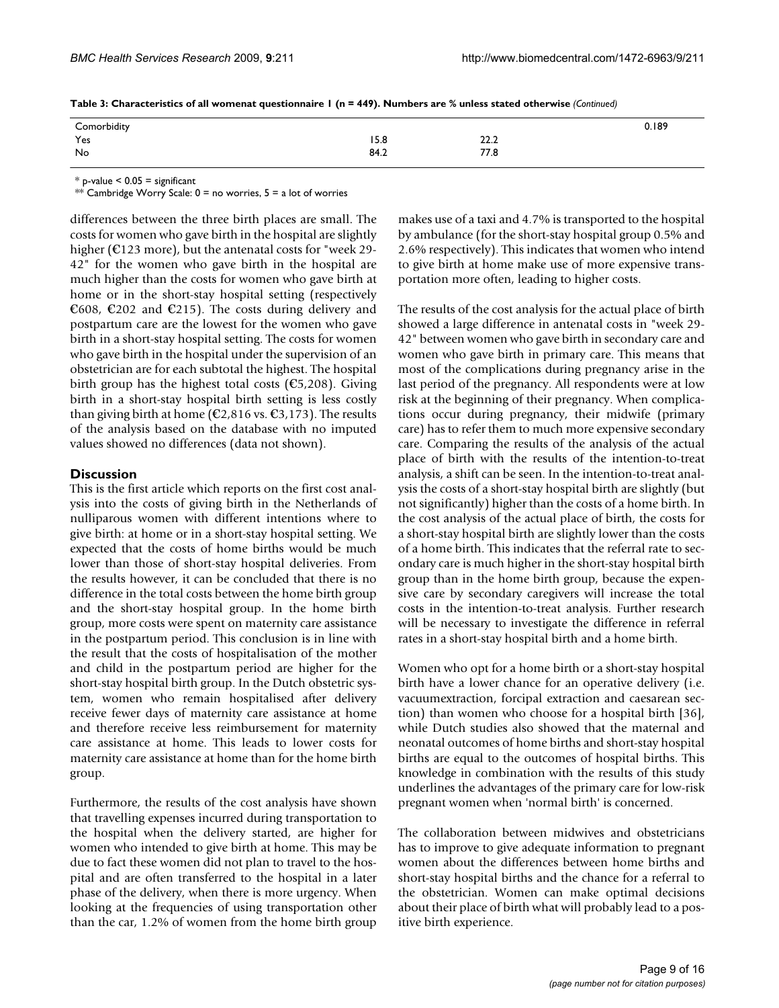| Comorbidity |      |                            | 0.189 |
|-------------|------|----------------------------|-------|
| Yes         | 15.8 | ר רר<br><b><i>LL.L</i></b> |       |
| No          | 84.2 | 77.8                       |       |

 $*$  p-value  $< 0.05 =$  significant

\*\* Cambridge Worry Scale:  $0 =$  no worries,  $5 =$  a lot of worries

differences between the three birth places are small. The costs for women who gave birth in the hospital are slightly higher ( $\text{\textsterling}123$  more), but the antenatal costs for "week 29-42" for the women who gave birth in the hospital are much higher than the costs for women who gave birth at home or in the short-stay hospital setting (respectively €608, €202 and €215). The costs during delivery and postpartum care are the lowest for the women who gave birth in a short-stay hospital setting. The costs for women who gave birth in the hospital under the supervision of an obstetrician are for each subtotal the highest. The hospital birth group has the highest total costs ( $\mathfrak{C}5,208$ ). Giving birth in a short-stay hospital birth setting is less costly than giving birth at home ( $\epsilon$ 2,816 vs.  $\epsilon$ 3,173). The results of the analysis based on the database with no imputed values showed no differences (data not shown).

## **Discussion**

This is the first article which reports on the first cost analysis into the costs of giving birth in the Netherlands of nulliparous women with different intentions where to give birth: at home or in a short-stay hospital setting. We expected that the costs of home births would be much lower than those of short-stay hospital deliveries. From the results however, it can be concluded that there is no difference in the total costs between the home birth group and the short-stay hospital group. In the home birth group, more costs were spent on maternity care assistance in the postpartum period. This conclusion is in line with the result that the costs of hospitalisation of the mother and child in the postpartum period are higher for the short-stay hospital birth group. In the Dutch obstetric system, women who remain hospitalised after delivery receive fewer days of maternity care assistance at home and therefore receive less reimbursement for maternity care assistance at home. This leads to lower costs for maternity care assistance at home than for the home birth group.

Furthermore, the results of the cost analysis have shown that travelling expenses incurred during transportation to the hospital when the delivery started, are higher for women who intended to give birth at home. This may be due to fact these women did not plan to travel to the hospital and are often transferred to the hospital in a later phase of the delivery, when there is more urgency. When looking at the frequencies of using transportation other than the car, 1.2% of women from the home birth group

makes use of a taxi and 4.7% is transported to the hospital by ambulance (for the short-stay hospital group 0.5% and 2.6% respectively). This indicates that women who intend to give birth at home make use of more expensive transportation more often, leading to higher costs.

The results of the cost analysis for the actual place of birth showed a large difference in antenatal costs in "week 29- 42" between women who gave birth in secondary care and women who gave birth in primary care. This means that most of the complications during pregnancy arise in the last period of the pregnancy. All respondents were at low risk at the beginning of their pregnancy. When complications occur during pregnancy, their midwife (primary care) has to refer them to much more expensive secondary care. Comparing the results of the analysis of the actual place of birth with the results of the intention-to-treat analysis, a shift can be seen. In the intention-to-treat analysis the costs of a short-stay hospital birth are slightly (but not significantly) higher than the costs of a home birth. In the cost analysis of the actual place of birth, the costs for a short-stay hospital birth are slightly lower than the costs of a home birth. This indicates that the referral rate to secondary care is much higher in the short-stay hospital birth group than in the home birth group, because the expensive care by secondary caregivers will increase the total costs in the intention-to-treat analysis. Further research will be necessary to investigate the difference in referral rates in a short-stay hospital birth and a home birth.

Women who opt for a home birth or a short-stay hospital birth have a lower chance for an operative delivery (i.e. vacuumextraction, forcipal extraction and caesarean section) than women who choose for a hospital birth [\[36](#page-15-14)], while Dutch studies also showed that the maternal and neonatal outcomes of home births and short-stay hospital births are equal to the outcomes of hospital births. This knowledge in combination with the results of this study underlines the advantages of the primary care for low-risk pregnant women when 'normal birth' is concerned.

The collaboration between midwives and obstetricians has to improve to give adequate information to pregnant women about the differences between home births and short-stay hospital births and the chance for a referral to the obstetrician. Women can make optimal decisions about their place of birth what will probably lead to a positive birth experience.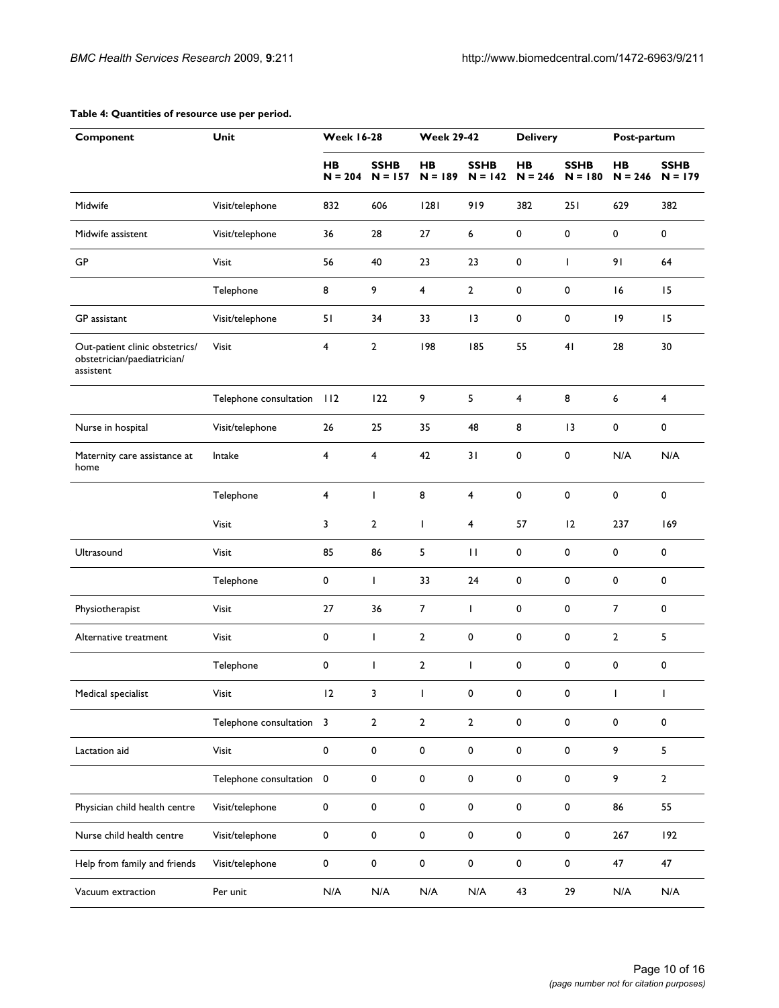| Component                                                                  | Unit                     | <b>Week 16-28</b>       |                          | <b>Week 29-42</b> |                          | <b>Delivery</b> |                          | Post-partum     |                          |
|----------------------------------------------------------------------------|--------------------------|-------------------------|--------------------------|-------------------|--------------------------|-----------------|--------------------------|-----------------|--------------------------|
|                                                                            |                          | HB<br>$N = 204$         | <b>SSHB</b><br>$N = 157$ | HВ<br>$N = 189$   | <b>SSHB</b><br>$N = 142$ | HB<br>$N = 246$ | <b>SSHB</b><br>$N = 180$ | HВ<br>$N = 246$ | <b>SSHB</b><br>$N = 179$ |
| Midwife                                                                    | Visit/telephone          | 832                     | 606                      | 1281              | 919                      | 382             | 251                      | 629             | 382                      |
| Midwife assistent                                                          | Visit/telephone          | 36                      | 28                       | 27                | 6                        | 0               | 0                        | 0               | 0                        |
| GP                                                                         | Visit                    | 56                      | 40                       | 23                | 23                       | 0               | $\mathsf{I}$             | 91              | 64                       |
|                                                                            | Telephone                | 8                       | 9                        | 4                 | $\overline{2}$           | 0               | 0                        | 16              | 15                       |
| GP assistant                                                               | Visit/telephone          | 51                      | 34                       | 33                | 13                       | 0               | 0                        | 9               | 15                       |
| Out-patient clinic obstetrics/<br>obstetrician/paediatrician/<br>assistent | Visit                    | 4                       | $\overline{2}$           | 198               | 185                      | 55              | 41                       | 28              | 30                       |
|                                                                            | Telephone consultation   | 112                     | 122                      | 9                 | 5                        | 4               | 8                        | 6               | 4                        |
| Nurse in hospital                                                          | Visit/telephone          | 26                      | 25                       | 35                | 48                       | 8               | 3                        | 0               | $\pmb{0}$                |
| Maternity care assistance at<br>home                                       | Intake                   | 4                       | 4                        | 42                | 31                       | 0               | 0                        | N/A             | N/A                      |
|                                                                            | Telephone                | $\overline{\mathbf{4}}$ | $\mathbf{I}$             | 8                 | $\overline{4}$           | $\pmb{0}$       | 0                        | $\mathbf 0$     | 0                        |
|                                                                            | <b>Visit</b>             | 3                       | $\overline{2}$           | $\mathsf{I}$      | $\overline{\mathbf{4}}$  | 57              | 12                       | 237             | 169                      |
| Ultrasound                                                                 | <b>Visit</b>             | 85                      | 86                       | 5                 | $\mathbf{H}$             | 0               | 0                        | 0               | $\mathbf 0$              |
|                                                                            | Telephone                | 0                       | T                        | 33                | 24                       | 0               | 0                        | 0               | 0                        |
| Physiotherapist                                                            | Visit                    | 27                      | 36                       | 7                 | T                        | 0               | 0                        | 7               | 0                        |
| Alternative treatment                                                      | Visit                    | 0                       | T                        | $\overline{2}$    | 0                        | 0               | 0                        | $\overline{2}$  | 5                        |
|                                                                            | Telephone                | $\pmb{0}$               | I.                       | $\overline{2}$    | T                        | 0               | 0                        | 0               | 0                        |
| Medical specialist                                                         | Visit                    | 12                      | 3                        | $\mathbf{I}$      | 0                        | 0               | 0                        | L               | $\mathbf{I}$             |
|                                                                            | Telephone consultation 3 |                         | $\overline{2}$           | $\overline{2}$    | $\overline{2}$           | $\pmb{0}$       | $\pmb{0}$                | 0               | $\pmb{0}$                |
| Lactation aid                                                              | Visit                    | $\pmb{0}$               | 0                        | 0                 | $\pmb{0}$                | 0               | 0                        | 9               | 5                        |
|                                                                            | Telephone consultation 0 |                         | 0                        | 0                 | $\pmb{0}$                | $\pmb{0}$       | $\pmb{0}$                | 9               | $\mathbf{2}$             |
| Physician child health centre                                              | Visit/telephone          | $\pmb{0}$               | 0                        | $\pmb{0}$         | $\pmb{0}$                | $\pmb{0}$       | $\pmb{0}$                | 86              | 55                       |
| Nurse child health centre                                                  | Visit/telephone          | 0                       | 0                        | 0                 | $\pmb{0}$                | 0               | 0                        | 267             | 192                      |
| Help from family and friends                                               | Visit/telephone          | $\pmb{0}$               | $\pmb{0}$                | 0                 | $\pmb{0}$                | $\pmb{0}$       | $\pmb{0}$                | 47              | 47                       |
| Vacuum extraction                                                          | Per unit                 | N/A                     | N/A                      | N/A               | N/A                      | 43              | $29\,$                   | N/A             | N/A                      |

### <span id="page-9-0"></span>**Table 4: Quantities of resource use per period.**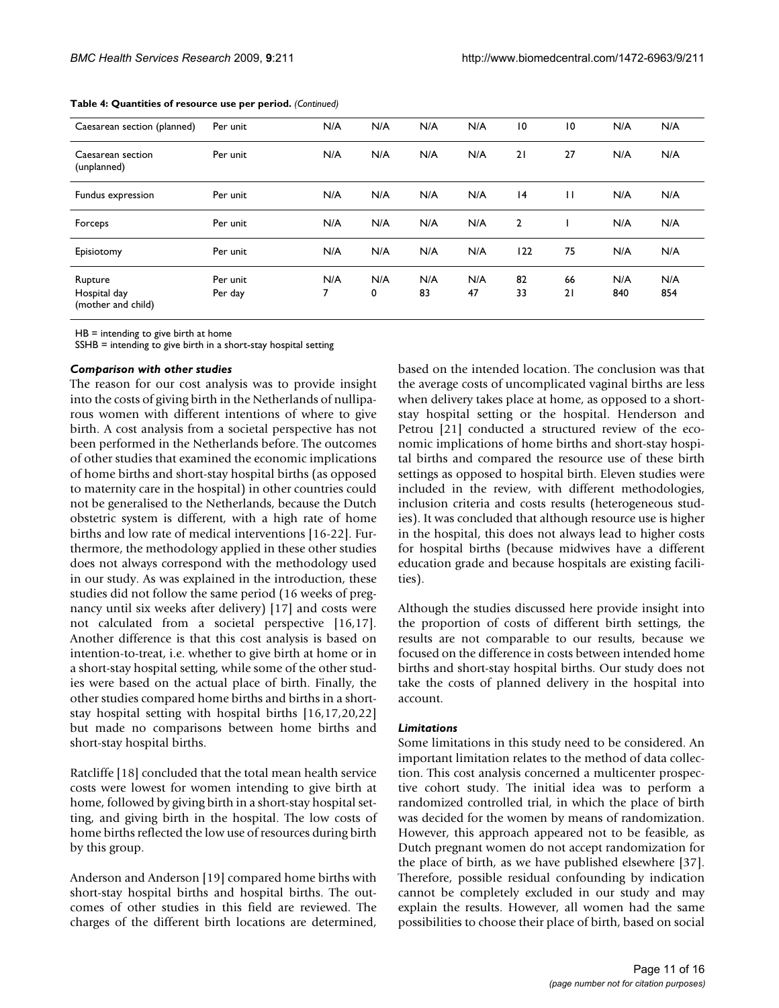| Caesarean section (planned)                   | Per unit            | N/A      | N/A      | N/A       | N/A       | $\overline{10}$ | $\overline{10}$ | N/A        | N/A        |
|-----------------------------------------------|---------------------|----------|----------|-----------|-----------|-----------------|-----------------|------------|------------|
| Caesarean section<br>(unplanned)              | Per unit            | N/A      | N/A      | N/A       | N/A       | 21              | 27              | N/A        | N/A        |
| Fundus expression                             | Per unit            | N/A      | N/A      | N/A       | N/A       | 4               | $\mathsf{H}$    | N/A        | N/A        |
| Forceps                                       | Per unit            | N/A      | N/A      | N/A       | N/A       | $\overline{2}$  |                 | N/A        | N/A        |
| Episiotomy                                    | Per unit            | N/A      | N/A      | N/A       | N/A       | 122             | 75              | N/A        | N/A        |
| Rupture<br>Hospital day<br>(mother and child) | Per unit<br>Per day | N/A<br>7 | N/A<br>0 | N/A<br>83 | N/A<br>47 | 82<br>33        | 66<br>21        | N/A<br>840 | N/A<br>854 |

**Table 4: Quantities of resource use per period.** *(Continued)*

HB = intending to give birth at home

SSHB = intending to give birth in a short-stay hospital setting

#### *Comparison with other studies*

The reason for our cost analysis was to provide insight into the costs of giving birth in the Netherlands of nulliparous women with different intentions of where to give birth. A cost analysis from a societal perspective has not been performed in the Netherlands before. The outcomes of other studies that examined the economic implications of home births and short-stay hospital births (as opposed to maternity care in the hospital) in other countries could not be generalised to the Netherlands, because the Dutch obstetric system is different, with a high rate of home births and low rate of medical interventions [[16-](#page-15-0)[22\]](#page-15-15). Furthermore, the methodology applied in these other studies does not always correspond with the methodology used in our study. As was explained in the introduction, these studies did not follow the same period (16 weeks of pregnancy until six weeks after delivery) [[17\]](#page-15-16) and costs were not calculated from a societal perspective [[16](#page-15-0)[,17](#page-15-16)]. Another difference is that this cost analysis is based on intention-to-treat, i.e. whether to give birth at home or in a short-stay hospital setting, while some of the other studies were based on the actual place of birth. Finally, the other studies compared home births and births in a shortstay hospital setting with hospital births [[16,](#page-15-0)[17,](#page-15-16)[20](#page-15-17),[22\]](#page-15-15) but made no comparisons between home births and short-stay hospital births.

Ratcliffe [\[18\]](#page-15-10) concluded that the total mean health service costs were lowest for women intending to give birth at home, followed by giving birth in a short-stay hospital setting, and giving birth in the hospital. The low costs of home births reflected the low use of resources during birth by this group.

Anderson and Anderson [[19](#page-15-18)] compared home births with short-stay hospital births and hospital births. The outcomes of other studies in this field are reviewed. The charges of the different birth locations are determined,

based on the intended location. The conclusion was that the average costs of uncomplicated vaginal births are less when delivery takes place at home, as opposed to a shortstay hospital setting or the hospital. Henderson and Petrou [\[21\]](#page-15-19) conducted a structured review of the economic implications of home births and short-stay hospital births and compared the resource use of these birth settings as opposed to hospital birth. Eleven studies were included in the review, with different methodologies, inclusion criteria and costs results (heterogeneous studies). It was concluded that although resource use is higher in the hospital, this does not always lead to higher costs for hospital births (because midwives have a different education grade and because hospitals are existing facilities).

Although the studies discussed here provide insight into the proportion of costs of different birth settings, the results are not comparable to our results, because we focused on the difference in costs between intended home births and short-stay hospital births. Our study does not take the costs of planned delivery in the hospital into account.

#### *Limitations*

Some limitations in this study need to be considered. An important limitation relates to the method of data collection. This cost analysis concerned a multicenter prospective cohort study. The initial idea was to perform a randomized controlled trial, in which the place of birth was decided for the women by means of randomization. However, this approach appeared not to be feasible, as Dutch pregnant women do not accept randomization for the place of birth, as we have published elsewhere [\[37](#page-15-20)]. Therefore, possible residual confounding by indication cannot be completely excluded in our study and may explain the results. However, all women had the same possibilities to choose their place of birth, based on social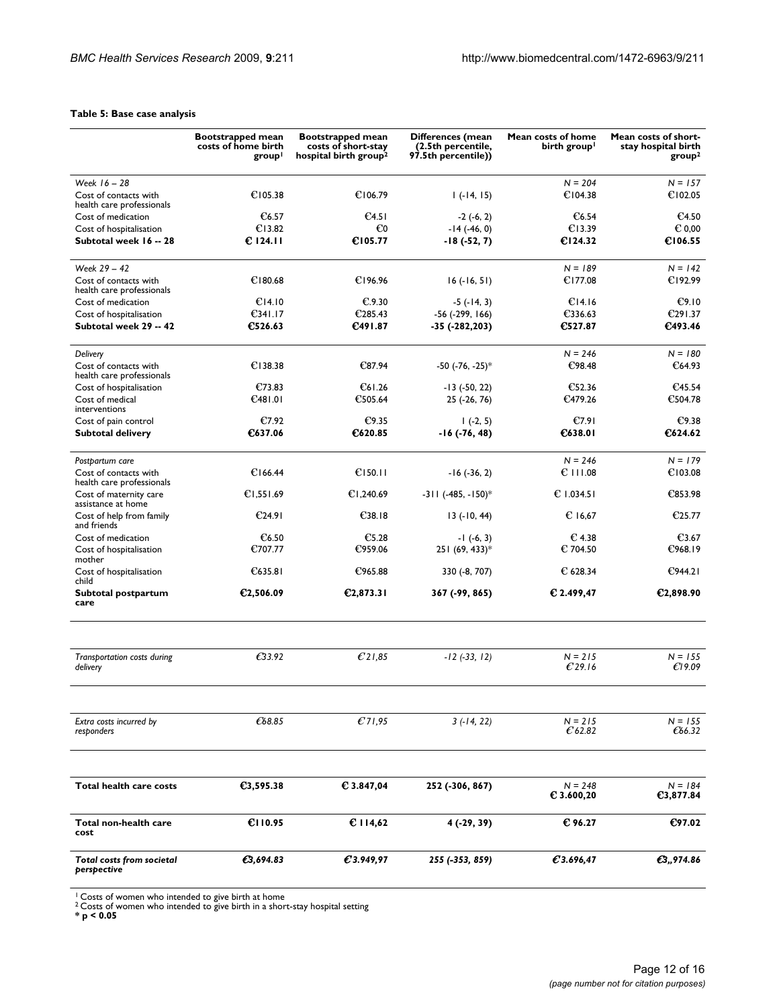## <span id="page-11-0"></span>**Table 5: Base case analysis**

|                                                    | <b>Bootstrapped mean</b><br>costs of home birth<br>group <sup>1</sup> | <b>Bootstrapped mean</b><br>costs of short-stay<br>hospital birth group <sup>2</sup> | Differences (mean<br>(2.5th percentile,<br>97.5th percentile)) | Mean costs of home<br>birth group <sup>1</sup> | Mean costs of short-<br>stay hospital birth<br>group <sup>2</sup> |
|----------------------------------------------------|-----------------------------------------------------------------------|--------------------------------------------------------------------------------------|----------------------------------------------------------------|------------------------------------------------|-------------------------------------------------------------------|
| Week 16 - 28                                       |                                                                       |                                                                                      |                                                                | $N = 204$                                      | $N = 157$                                                         |
| Cost of contacts with<br>health care professionals | €105.38                                                               | €106.79                                                                              | $1(-14, 15)$                                                   | €104.38                                        | €102.05                                                           |
| Cost of medication                                 | €6.57                                                                 | €4.51                                                                                | $-2(-6, 2)$                                                    | €6.54                                          | €4.50                                                             |
| Cost of hospitalisation                            | €13.82                                                                | €0                                                                                   | $-14$ $(-46, 0)$                                               | E13.39                                         | $\epsilon$ 0.00                                                   |
| Subtotal week 16 -- 28                             | $C$ 124.11                                                            | C105.77                                                                              | $-18(-52, 7)$                                                  | E124.32                                        | C106.55                                                           |
| Week 29 - 42                                       |                                                                       |                                                                                      |                                                                | $N = 189$                                      | $N = 142$                                                         |
| Cost of contacts with<br>health care professionals | €180.68                                                               | €196.96                                                                              | $16(-16, 51)$                                                  | €177.08                                        | €192.99                                                           |
| Cost of medication                                 | E14.10                                                                | €.9.30                                                                               | $-5$ ( $-14, 3$ )                                              | E14.16                                         | E9.10                                                             |
| Cost of hospitalisation                            | $E$ 341.17                                                            | €285.43                                                                              | -56 (-299, 166)                                                | €336.63                                        | €291.37                                                           |
| Subtotal week 29 -- 42                             | €526.63                                                               | €491.87                                                                              | $-35$ ( $-282,203$ )                                           | €527.87                                        | €493.46                                                           |
| Delivery                                           |                                                                       |                                                                                      |                                                                | $N = 246$                                      | $N = 180$                                                         |
| Cost of contacts with<br>health care professionals | €138.38                                                               | €87.94                                                                               | $-50$ ( $-76$ , $-25$ )*                                       | €98.48                                         | €64.93                                                            |
| Cost of hospitalisation                            | €73.83                                                                | €61.26                                                                               | $-13$ ( $-50$ , 22)                                            | €52.36                                         | €45.54                                                            |
| Cost of medical<br>interventions                   | €481.01                                                               | €505.64                                                                              | 25 (-26, 76)                                                   | €479.26                                        | €504.78                                                           |
| Cost of pain control                               | €7.92                                                                 | €9.35                                                                                | $1(-2, 5)$                                                     | E7.91                                          | €9.38                                                             |
| <b>Subtotal delivery</b>                           | €637.06                                                               | €620.85                                                                              | $-16$ ( $-76$ , 48)                                            | €638.01                                        | €624.62                                                           |
| Postpartum care                                    |                                                                       |                                                                                      |                                                                | $N = 246$                                      | $N = 179$                                                         |
| Cost of contacts with<br>health care professionals | €166.44                                                               | E150.11                                                                              | $-16$ $(-36, 2)$                                               | € 111.08                                       | €103.08                                                           |
| Cost of maternity care<br>assistance at home       | €1,551.69                                                             | €1.240.69                                                                            | $-311$ ( $-485, -150$ )*                                       | € 1.034.51                                     | €853.98                                                           |
| Cost of help from family<br>and friends            | E24.91                                                                | €38.18                                                                               | $13$ ( $-10, 44$ )                                             | $\epsilon$ 16,67                               | €25.77                                                            |
| Cost of medication                                 | €6.50                                                                 | €5.28                                                                                | $-1$ $(-6, 3)$                                                 | $\epsilon$ 4.38                                | €3.67                                                             |
| Cost of hospitalisation<br>mother                  | €707.77                                                               | €959.06                                                                              | 251 (69, 433)*                                                 | € 704.50                                       | €968.19                                                           |
| Cost of hospitalisation<br>child                   | €635.81                                                               | €965.88                                                                              | 330 (-8, 707)                                                  | € 628.34                                       | €944.21                                                           |
| Subtotal postpartum<br>care                        | €2,506.09                                                             | C <sub>2,873.31</sub>                                                                | 367 (-99, 865)                                                 | € 2.499,47                                     | €2,898.90                                                         |
| Transportation costs during                        | £33.92                                                                | E21,85                                                                               |                                                                | $N = 215$                                      | $N = 155$                                                         |
| delivery                                           |                                                                       |                                                                                      | $-12$ ( $-33$ , $12$ )                                         | $E$ 29.16                                      | €19.09                                                            |
| Extra costs incurred by                            | E68.85                                                                | $E$ 71,95                                                                            | $3(-14, 22)$                                                   | $N = 215$                                      | $N = 155$                                                         |
| responders                                         |                                                                       |                                                                                      |                                                                | E62.82                                         | €66.32                                                            |
|                                                    |                                                                       |                                                                                      |                                                                |                                                |                                                                   |
| <b>Total health care costs</b>                     | €3,595.38                                                             | € 3.847,04                                                                           | 252 (-306, 867)                                                | $N = 248$<br>€ 3.600,20                        | $N = 184$<br>€3,877.84                                            |
| Total non-health care<br>cost                      | €110.95                                                               | € 114,62                                                                             | 4 (-29, 39)                                                    | € 96.27                                        | €97.02                                                            |
| <b>Total costs from societal</b><br>perspective    | C3,694.83                                                             | C3.949,97                                                                            | 255 (-353, 859)                                                | $C$ 3.696,47                                   | C3, 974.86                                                        |

<sup>1</sup> Costs of women who intended to give birth at home<br><sup>2</sup> Costs of women who intended to give birth in a short-stay hospital setting<br>**\* p < 0.05**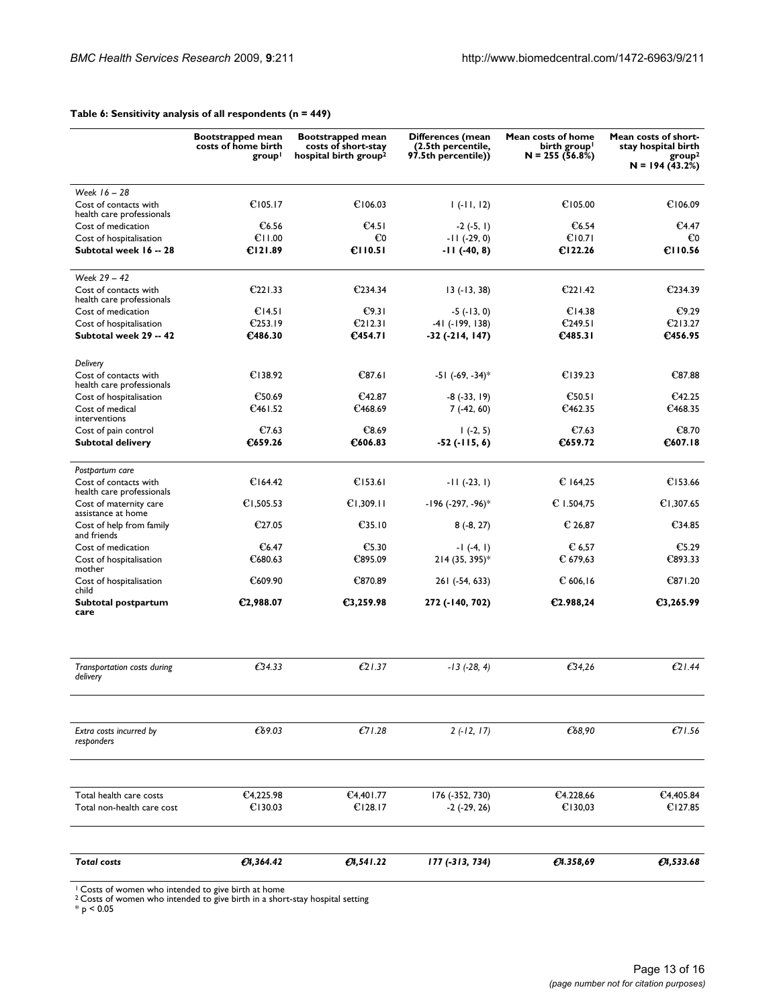### <span id="page-12-0"></span>**Table 6: Sensitivity analysis of all respondents (n = 449)**

|                                                                    | <b>Bootstrapped mean</b><br>costs of home birth<br>group <sup>1</sup> | <b>Bootstrapped mean</b><br>costs of short-stay<br>hospital birth group <sup>2</sup> | Differences (mean<br>(2.5th percentile,<br>97.5th percentile)) | Mean costs of home<br>birth group <sup>1</sup><br>$N = 255(56.8%)$ | Mean costs of short-<br>stay hospital birth<br>group <sup>2</sup><br>$N = 194(43.2%)$ |
|--------------------------------------------------------------------|-----------------------------------------------------------------------|--------------------------------------------------------------------------------------|----------------------------------------------------------------|--------------------------------------------------------------------|---------------------------------------------------------------------------------------|
| Week 16 - 28<br>Cost of contacts with<br>health care professionals | €105.17                                                               | €106.03                                                                              | $1(-11, 12)$                                                   | €105.00                                                            | €106.09                                                                               |
| Cost of medication                                                 | €6.56                                                                 | €4.51                                                                                | $-2(-5, 1)$                                                    | €6.54                                                              | €4.47                                                                                 |
| Cost of hospitalisation                                            | E11.00                                                                | €0                                                                                   | $-11$ $(-29, 0)$                                               | E10.71                                                             | €0                                                                                    |
| Subtotal week 16 -- 28                                             | E121.89                                                               | E110.51                                                                              | $-11$ ( $-40, 8$ )                                             | C122.26                                                            | C110.56                                                                               |
| Week 29 - 42                                                       |                                                                       |                                                                                      |                                                                |                                                                    |                                                                                       |
| Cost of contacts with<br>health care professionals                 | E221.33                                                               | €234.34                                                                              | $13(-13, 38)$                                                  | E221.42                                                            | €234.39                                                                               |
| Cost of medication                                                 | $E$ 14.51                                                             | E9.31                                                                                | $-5(-13, 0)$                                                   | €14.38                                                             | €9.29                                                                                 |
| Cost of hospitalisation                                            | €253.19                                                               | E212.31                                                                              | -41 (-199, 138)                                                | €249.51                                                            | E213.27                                                                               |
| Subtotal week 29 -- 42                                             | €486.30                                                               | €454.71                                                                              | -32 (-214, 147)                                                | $C$ 485.31                                                         | €456.95                                                                               |
|                                                                    |                                                                       |                                                                                      |                                                                |                                                                    |                                                                                       |
| Delivery                                                           |                                                                       |                                                                                      |                                                                |                                                                    |                                                                                       |
| Cost of contacts with<br>health care professionals                 | €138.92                                                               | €87.61                                                                               | $-51$ ( $-69$ , $-34$ )*                                       | €139.23                                                            | €87.88                                                                                |
| Cost of hospitalisation                                            | €50.69                                                                | €42.87                                                                               | $-8(-33, 19)$                                                  | $E$ 50.51                                                          | €42.25                                                                                |
| Cost of medical<br>interventions                                   | €461.52                                                               | €468.69                                                                              | $7(-42, 60)$                                                   | €462.35                                                            | €468.35                                                                               |
| Cost of pain control                                               | €7.63                                                                 | €8.69                                                                                | $1(-2, 5)$                                                     | €7.63                                                              | €8.70                                                                                 |
| <b>Subtotal delivery</b>                                           | €659.26                                                               | €606.83                                                                              | $-52$ ( $-115, 6$ )                                            | €659.72                                                            | €607.18                                                                               |
| Postpartum care                                                    |                                                                       |                                                                                      |                                                                |                                                                    |                                                                                       |
| Cost of contacts with<br>health care professionals                 | €164.42                                                               | $E$ 153.61                                                                           | $-11(-23, 1)$                                                  | € 164,25                                                           | €153.66                                                                               |
| Cost of maternity care<br>assistance at home                       | €1,505.53                                                             | €1,309.11                                                                            | $-196$ (-297, -96)*                                            | € 1.504,75                                                         | €1,307.65                                                                             |
| Cost of help from family<br>and friends                            | €27.05                                                                | €35.10                                                                               | $8(-8, 27)$                                                    | $\mathbb{C}$ 26,87                                                 | €34.85                                                                                |
| Cost of medication                                                 | €6.47                                                                 | $E$ 5.30                                                                             | $-1$ ( $-4$ , $1$ )                                            | $\epsilon$ 6,57                                                    | €5.29                                                                                 |
| Cost of hospitalisation<br>mother                                  | €680.63                                                               | €895.09                                                                              | $214(35, 395)*$                                                | € 679,63                                                           | €893.33                                                                               |
| Cost of hospitalisation<br>child                                   | €609.90                                                               | €870.89                                                                              | 261 (-54, 633)                                                 | € 606,16                                                           | €871.20                                                                               |
| Subtotal postpartum<br>care                                        | C2,988.07                                                             | C3,259.98                                                                            | 272 (-140, 702)                                                | €2.988,24                                                          | €3,265.99                                                                             |
|                                                                    |                                                                       |                                                                                      |                                                                |                                                                    |                                                                                       |
| Transportation costs during<br>delivery                            | $E$ 34.33                                                             | E21.37                                                                               | $-13$ ( $-28$ , 4)                                             | £34,26                                                             | $E$ 21.44                                                                             |
|                                                                    |                                                                       |                                                                                      |                                                                |                                                                    |                                                                                       |
| Extra costs incurred by<br>responders                              | E69.03                                                                | E71.28                                                                               | $2(-12, 17)$                                                   | €68,90                                                             | E71.56                                                                                |
|                                                                    |                                                                       |                                                                                      |                                                                |                                                                    |                                                                                       |
| Total health care costs                                            | €4,225.98                                                             | €4,401.77                                                                            | 176 (-352, 730)                                                | €4.228,66                                                          | €4,405.84                                                                             |
| Total non-health care cost                                         | €130.03                                                               | €128.17                                                                              | $-2(-29, 26)$                                                  | €130,03                                                            | €127.85                                                                               |
| <b>Total costs</b>                                                 | C4,364.42                                                             | 64,541.22                                                                            | 177 (-313, 734)                                                | €4.358,69                                                          | 64,533.68                                                                             |

<sup>1</sup> Costs of women who intended to give birth at home<br><sup>2</sup> Costs of women who intended to give birth in a short-stay hospital setting<br>\* p < 0.05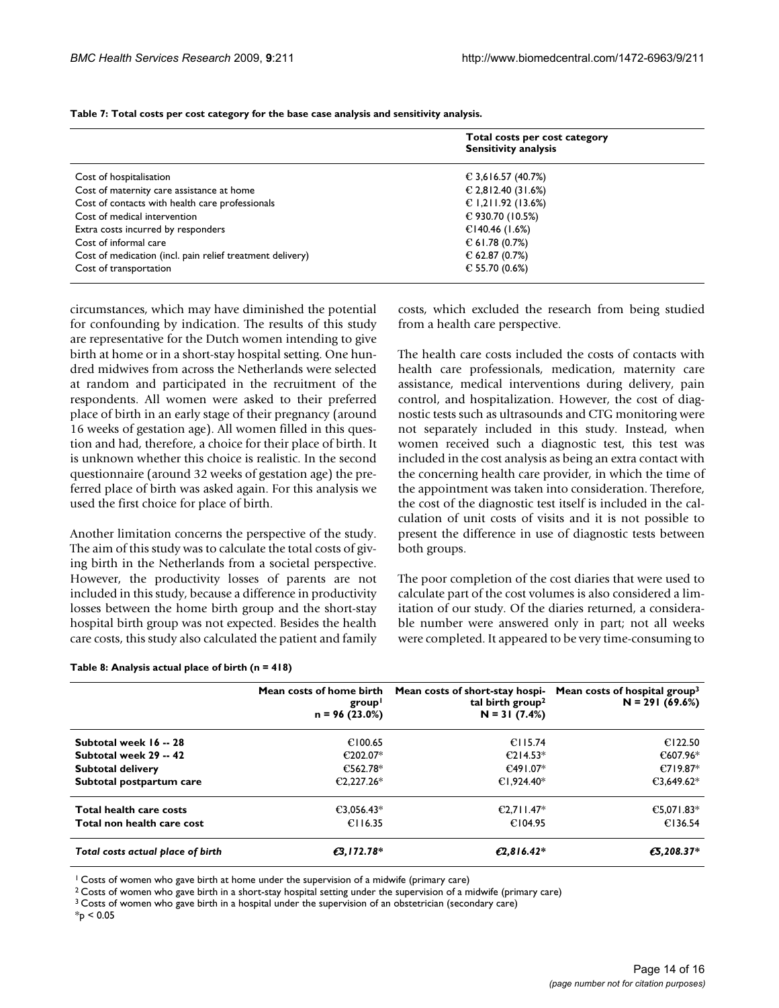<span id="page-13-0"></span>**Table 7: Total costs per cost category for the base case analysis and sensitivity analysis.**

|                                                           | Total costs per cost category<br><b>Sensitivity analysis</b> |  |
|-----------------------------------------------------------|--------------------------------------------------------------|--|
| Cost of hospitalisation                                   | € 3,616.57 (40.7%)                                           |  |
| Cost of maternity care assistance at home                 | € 2,812.40 (31.6%)                                           |  |
| Cost of contacts with health care professionals           | € 1,211.92 (13.6%)                                           |  |
| Cost of medical intervention                              | € 930.70 (10.5%)                                             |  |
| Extra costs incurred by responders                        | €140.46 (1.6%)                                               |  |
| Cost of informal care                                     | € 61.78 (0.7%)                                               |  |
| Cost of medication (incl. pain relief treatment delivery) | € 62.87 (0.7%)                                               |  |
| Cost of transportation                                    | € 55.70 (0.6%)                                               |  |

circumstances, which may have diminished the potential for confounding by indication. The results of this study are representative for the Dutch women intending to give birth at home or in a short-stay hospital setting. One hundred midwives from across the Netherlands were selected at random and participated in the recruitment of the respondents. All women were asked to their preferred place of birth in an early stage of their pregnancy (around 16 weeks of gestation age). All women filled in this question and had, therefore, a choice for their place of birth. It is unknown whether this choice is realistic. In the second questionnaire (around 32 weeks of gestation age) the preferred place of birth was asked again. For this analysis we used the first choice for place of birth.

Another limitation concerns the perspective of the study. The aim of this study was to calculate the total costs of giving birth in the Netherlands from a societal perspective. However, the productivity losses of parents are not included in this study, because a difference in productivity losses between the home birth group and the short-stay hospital birth group was not expected. Besides the health care costs, this study also calculated the patient and family

#### <span id="page-13-1"></span>**Table 8: Analysis actual place of birth (n = 418)**

costs, which excluded the research from being studied from a health care perspective.

The health care costs included the costs of contacts with health care professionals, medication, maternity care assistance, medical interventions during delivery, pain control, and hospitalization. However, the cost of diagnostic tests such as ultrasounds and CTG monitoring were not separately included in this study. Instead, when women received such a diagnostic test, this test was included in the cost analysis as being an extra contact with the concerning health care provider, in which the time of the appointment was taken into consideration. Therefore, the cost of the diagnostic test itself is included in the calculation of unit costs of visits and it is not possible to present the difference in use of diagnostic tests between both groups.

The poor completion of the cost diaries that were used to calculate part of the cost volumes is also considered a limitation of our study. Of the diaries returned, a considerable number were answered only in part; not all weeks were completed. It appeared to be very time-consuming to

|                                   | Mean costs of home birth<br>group <sup>1</sup><br>$n = 96(23.0%)$ | Mean costs of short-stay hospi- Mean costs of hospital group <sup>3</sup><br>tal birth group <sup>2</sup><br>$N = 31(7.4%)$ | $N = 291(69.6%)$     |
|-----------------------------------|-------------------------------------------------------------------|-----------------------------------------------------------------------------------------------------------------------------|----------------------|
| Subtotal week 16 -- 28            | €100.65                                                           | E115.74                                                                                                                     | €122.50              |
| Subtotal week 29 -- 42            | €202.07 <sup>*</sup>                                              | €214.53*                                                                                                                    | €607.96*             |
| <b>Subtotal delivery</b>          | €562.78*                                                          | €491.07 <sup>*</sup>                                                                                                        | €719.87 <sup>*</sup> |
| Subtotal postpartum care          | €2.227.26 <sup>*</sup>                                            | €1.924.40 <sup>*</sup>                                                                                                      | €3.649.62*           |
| Total health care costs           | €3.056.43 <sup>*</sup>                                            | €2.711.47 <sup>*</sup>                                                                                                      | €5.071.83*           |
| Total non health care cost        | €116.35                                                           | €104.95                                                                                                                     | €136.54              |
| Total costs actual place of birth | $63.172.78*$                                                      | $62.816.42*$                                                                                                                | $65.208.37*$         |

<sup>1</sup> Costs of women who gave birth at home under the supervision of a midwife (primary care)

<sup>2</sup> Costs of women who gave birth in a short-stay hospital setting under the supervision of a midwife (primary care)

3 Costs of women who gave birth in a hospital under the supervision of an obstetrician (secondary care)

 $*_{p}$  < 0.05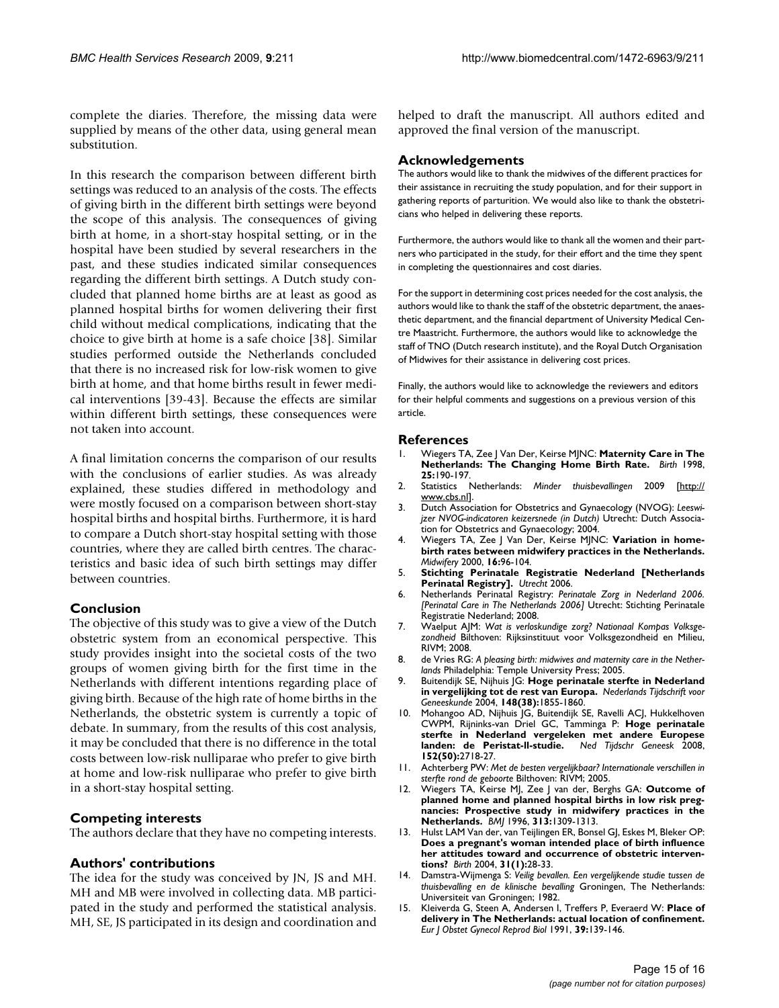complete the diaries. Therefore, the missing data were supplied by means of the other data, using general mean substitution.

In this research the comparison between different birth settings was reduced to an analysis of the costs. The effects of giving birth in the different birth settings were beyond the scope of this analysis. The consequences of giving birth at home, in a short-stay hospital setting, or in the hospital have been studied by several researchers in the past, and these studies indicated similar consequences regarding the different birth settings. A Dutch study concluded that planned home births are at least as good as planned hospital births for women delivering their first child without medical complications, indicating that the choice to give birth at home is a safe choice [\[38](#page-15-21)]. Similar studies performed outside the Netherlands concluded that there is no increased risk for low-risk women to give birth at home, and that home births result in fewer medical interventions [\[39](#page-15-22)[-43\]](#page-15-23). Because the effects are similar within different birth settings, these consequences were not taken into account.

A final limitation concerns the comparison of our results with the conclusions of earlier studies. As was already explained, these studies differed in methodology and were mostly focused on a comparison between short-stay hospital births and hospital births. Furthermore, it is hard to compare a Dutch short-stay hospital setting with those countries, where they are called birth centres. The characteristics and basic idea of such birth settings may differ between countries.

## **Conclusion**

The objective of this study was to give a view of the Dutch obstetric system from an economical perspective. This study provides insight into the societal costs of the two groups of women giving birth for the first time in the Netherlands with different intentions regarding place of giving birth. Because of the high rate of home births in the Netherlands, the obstetric system is currently a topic of debate. In summary, from the results of this cost analysis, it may be concluded that there is no difference in the total costs between low-risk nulliparae who prefer to give birth at home and low-risk nulliparae who prefer to give birth in a short-stay hospital setting.

## **Competing interests**

The authors declare that they have no competing interests.

## **Authors' contributions**

The idea for the study was conceived by JN, JS and MH. MH and MB were involved in collecting data. MB participated in the study and performed the statistical analysis. MH, SE, JS participated in its design and coordination and helped to draft the manuscript. All authors edited and approved the final version of the manuscript.

## **Acknowledgements**

The authors would like to thank the midwives of the different practices for their assistance in recruiting the study population, and for their support in gathering reports of parturition. We would also like to thank the obstetricians who helped in delivering these reports.

Furthermore, the authors would like to thank all the women and their partners who participated in the study, for their effort and the time they spent in completing the questionnaires and cost diaries.

For the support in determining cost prices needed for the cost analysis, the authors would like to thank the staff of the obstetric department, the anaesthetic department, and the financial department of University Medical Centre Maastricht. Furthermore, the authors would like to acknowledge the staff of TNO (Dutch research institute), and the Royal Dutch Organisation of Midwives for their assistance in delivering cost prices.

Finally, the authors would like to acknowledge the reviewers and editors for their helpful comments and suggestions on a previous version of this article.

## **References**

- <span id="page-14-0"></span>1. Wiegers TA, Zee J Van Der, Keirse MJNC: **[Maternity Care in The](http://www.ncbi.nlm.nih.gov/entrez/query.fcgi?cmd=Retrieve&db=PubMed&dopt=Abstract&list_uids=9767222) [Netherlands: The Changing Home Birth Rate.](http://www.ncbi.nlm.nih.gov/entrez/query.fcgi?cmd=Retrieve&db=PubMed&dopt=Abstract&list_uids=9767222)** *Birth* 1998, **25:**190-197.
- <span id="page-14-3"></span>2. Statistics Netherlands: *Minder thuisbevallingen* 2009 [\[http://](http://www.cbs.nl) [www.cbs.nl](http://www.cbs.nl)].
- <span id="page-14-1"></span>3. Dutch Association for Obstetrics and Gynaecology (NVOG): *Leeswijzer NVOG-indicatoren keizersnede (in Dutch)* Utrecht: Dutch Association for Obstetrics and Gynaecology; 2004.
- <span id="page-14-2"></span>4. Wiegers TA, Zee J Van Der, Keirse MJNC: **[Variation in home](http://www.ncbi.nlm.nih.gov/entrez/query.fcgi?cmd=Retrieve&db=PubMed&dopt=Abstract&list_uids=11151556)[birth rates between midwifery practices in the Netherlands.](http://www.ncbi.nlm.nih.gov/entrez/query.fcgi?cmd=Retrieve&db=PubMed&dopt=Abstract&list_uids=11151556)** *Midwifery* 2000, **16:**96-104.
- <span id="page-14-4"></span>5. **Stichting Perinatale Registratie Nederland [Netherlands Perinatal Registry].** *Utrecht* 2006.
- <span id="page-14-5"></span>6. Netherlands Perinatal Registry: *Perinatale Zorg in Nederland 2006. [Perinatal Care in The Netherlands 2006]* Utrecht: Stichting Perinatale Registratie Nederland; 2008.
- <span id="page-14-6"></span>7. Waelput AJM: *Wat is verloskundige zorg? Nationaal Kompas Volksgezondheid* Bilthoven: Rijksinstituut voor Volksgezondheid en Milieu, RIVM; 2008.
- <span id="page-14-7"></span>8. de Vries RG: *A pleasing birth: midwives and maternity care in the Netherlands* Philadelphia: Temple University Press; 2005.
- <span id="page-14-8"></span>9. Buitendijk SE, Nijhuis JG: **[Hoge perinatale sterfte in Nederland](http://www.ncbi.nlm.nih.gov/entrez/query.fcgi?cmd=Retrieve&db=PubMed&dopt=Abstract&list_uids=15497778) [in vergelijking tot de rest van Europa.](http://www.ncbi.nlm.nih.gov/entrez/query.fcgi?cmd=Retrieve&db=PubMed&dopt=Abstract&list_uids=15497778)** *Nederlands Tijdschrift voor Geneeskunde* 2004, **148(38):**1855-1860.
- 10. Mohangoo AD, Nijhuis JG, Buitendijk SE, Ravelli ACJ, Hukkelhoven CWPM, Rijninks-van Driel GC, Tamminga P: **Hoge perinatale sterfte in Nederland vergeleken met andere Europese** landen: de Peristat-II-studie. **152(50):**2718-27.
- <span id="page-14-9"></span>11. Achterberg PW: *Met de besten vergelijkbaar? Internationale verschillen in sterfte rond de geboorte* Bilthoven: RIVM; 2005.
- <span id="page-14-10"></span>12. Wiegers TA, Keirse MJ, Zee J van der, Berghs GA: **[Outcome of](http://www.ncbi.nlm.nih.gov/entrez/query.fcgi?cmd=Retrieve&db=PubMed&dopt=Abstract&list_uids=8942693) [planned home and planned hospital births in low risk preg](http://www.ncbi.nlm.nih.gov/entrez/query.fcgi?cmd=Retrieve&db=PubMed&dopt=Abstract&list_uids=8942693)nancies: Prospective study in midwifery practices in the [Netherlands.](http://www.ncbi.nlm.nih.gov/entrez/query.fcgi?cmd=Retrieve&db=PubMed&dopt=Abstract&list_uids=8942693)** *BMJ* 1996, **313:**1309-1313.
- 13. Hulst LAM Van der, van Teijlingen ER, Bonsel GJ, Eskes M, Bleker OP: **[Does a pregnant's woman intended place of birth influence](http://www.ncbi.nlm.nih.gov/entrez/query.fcgi?cmd=Retrieve&db=PubMed&dopt=Abstract&list_uids=15015990) her attitudes toward and occurrence of obstetric interven[tions?](http://www.ncbi.nlm.nih.gov/entrez/query.fcgi?cmd=Retrieve&db=PubMed&dopt=Abstract&list_uids=15015990)** *Birth* 2004, **31(1):**28-33.
- 14. Damstra-Wijmenga S: *Veilig bevallen. Een vergelijkende studie tussen de thuisbevalling en de klinische bevalling* Groningen, The Netherlands: Universiteit van Groningen; 1982.
- <span id="page-14-11"></span>15. Kleiverda G, Steen A, Andersen I, Treffers P, Everaerd W: **[Place of](http://www.ncbi.nlm.nih.gov/entrez/query.fcgi?cmd=Retrieve&db=PubMed&dopt=Abstract&list_uids=2050254) [delivery in The Netherlands: actual location of confinement.](http://www.ncbi.nlm.nih.gov/entrez/query.fcgi?cmd=Retrieve&db=PubMed&dopt=Abstract&list_uids=2050254)** *Eur J Obstet Gynecol Reprod Biol* 1991, **39:**139-146.